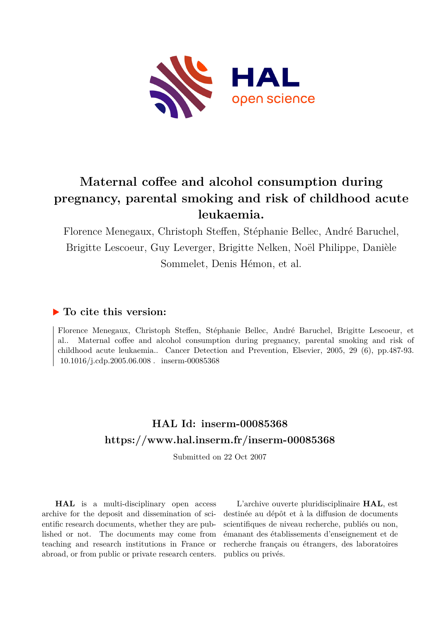

# **Maternal coffee and alcohol consumption during pregnancy, parental smoking and risk of childhood acute leukaemia.**

Florence Menegaux, Christoph Steffen, Stéphanie Bellec, André Baruchel, Brigitte Lescoeur, Guy Leverger, Brigitte Nelken, Noël Philippe, Danièle Sommelet, Denis Hémon, et al.

# **To cite this version:**

Florence Menegaux, Christoph Steffen, Stéphanie Bellec, André Baruchel, Brigitte Lescoeur, et al.. Maternal coffee and alcohol consumption during pregnancy, parental smoking and risk of childhood acute leukaemia.. Cancer Detection and Prevention, Elsevier, 2005, 29 (6), pp.487-93.  $10.1016$ /j.cdp.2005.06.008. inserm-00085368

# **HAL Id: inserm-00085368 <https://www.hal.inserm.fr/inserm-00085368>**

Submitted on 22 Oct 2007

**HAL** is a multi-disciplinary open access archive for the deposit and dissemination of scientific research documents, whether they are published or not. The documents may come from teaching and research institutions in France or abroad, or from public or private research centers.

L'archive ouverte pluridisciplinaire **HAL**, est destinée au dépôt et à la diffusion de documents scientifiques de niveau recherche, publiés ou non, émanant des établissements d'enseignement et de recherche français ou étrangers, des laboratoires publics ou privés.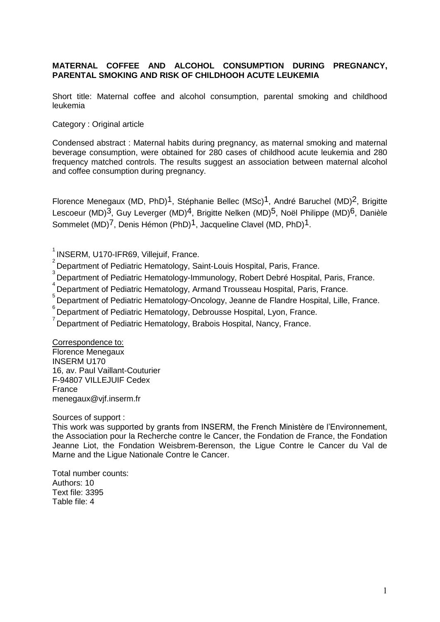### **MATERNAL COFFEE AND ALCOHOL CONSUMPTION DURING PREGNANCY, PARENTAL SMOKING AND RISK OF CHILDHOOH ACUTE LEUKEMIA**

Short title: Maternal coffee and alcohol consumption, parental smoking and childhood leukemia

#### Category : Original article

Condensed abstract : Maternal habits during pregnancy, as maternal smoking and maternal beverage consumption, were obtained for 280 cases of childhood acute leukemia and 280 frequency matched controls. The results suggest an association between maternal alcohol and coffee consumption during pregnancy.

Florence Menegaux (MD, PhD)<sup>1</sup>, Stéphanie Bellec (MSc)<sup>1</sup>, André Baruchel (MD)<sup>2</sup>, Brigitte Lescoeur (MD)<sup>3</sup>, Guy Leverger (MD)<sup>4</sup>, Brigitte Nelken (MD)<sup>5</sup>, Noël Philippe (MD)<sup>6</sup>, Danièle Sommelet (MD)<sup>7</sup>, Denis Hémon (PhD)<sup>1</sup>, Jacqueline Clavel (MD, PhD)<sup>1</sup>.

 $2$  Department of Pediatric Hematology, Saint-Louis Hospital, Paris, France.

<sup>3</sup><br>Department of Pediatric Hematology-Immunology, Robert Debré Hospital, Paris, France.

4 Department of Pediatric Hematology, Armand Trousseau Hospital, Paris, France.

5 Department of Pediatric Hematology-Oncology, Jeanne de Flandre Hospital, Lille, France.

<sup>6</sup> Department of Pediatric Hematology, Debrousse Hospital, Lyon, France.

<sup>7</sup> Department of Pediatric Hematology, Brabois Hospital, Nancy, France.

Correspondence to: Florence Menegaux INSERM U170 16, av. Paul Vaillant-Couturier F-94807 VILLEJUIF Cedex France [menegaux@vjf.inserm.fr](mailto:menegaux@vjf.inserm.fr)

Sources of support :

This work was supported by grants from INSERM, the French Ministère de l'Environnement, the Association pour la Recherche contre le Cancer, the Fondation de France, the Fondation Jeanne Liot, the Fondation Weisbrem-Berenson, the Ligue Contre le Cancer du Val de Marne and the Ligue Nationale Contre le Cancer.

Total number counts: Authors: 10 Text file: 3395 Table file: 4

<sup>&</sup>lt;sup>1</sup> INSERM, U170-IFR69, Villejuif, France.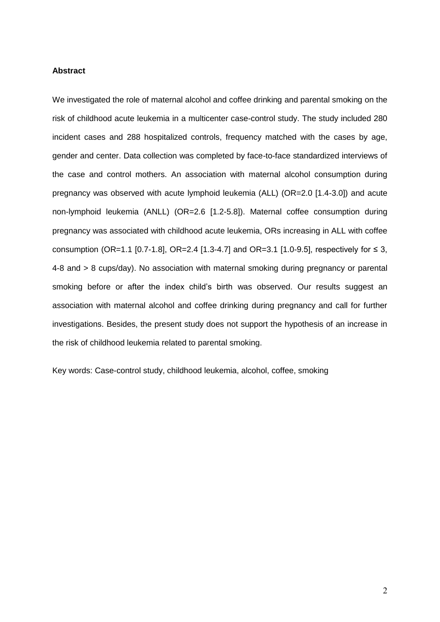#### **Abstract**

We investigated the role of maternal alcohol and coffee drinking and parental smoking on the risk of childhood acute leukemia in a multicenter case-control study. The study included 280 incident cases and 288 hospitalized controls, frequency matched with the cases by age, gender and center. Data collection was completed by face-to-face standardized interviews of the case and control mothers. An association with maternal alcohol consumption during pregnancy was observed with acute lymphoid leukemia (ALL) (OR=2.0 [1.4-3.0]) and acute non-lymphoid leukemia (ANLL) (OR=2.6 [1.2-5.8]). Maternal coffee consumption during pregnancy was associated with childhood acute leukemia, ORs increasing in ALL with coffee consumption (OR=1.1 [0.7-1.8], OR=2.4 [1.3-4.7] and OR=3.1 [1.0-9.5], respectively for ≤ 3, 4-8 and > 8 cups/day). No association with maternal smoking during pregnancy or parental smoking before or after the index child's birth was observed. Our results suggest an association with maternal alcohol and coffee drinking during pregnancy and call for further investigations. Besides, the present study does not support the hypothesis of an increase in the risk of childhood leukemia related to parental smoking.

Key words: Case-control study, childhood leukemia, alcohol, coffee, smoking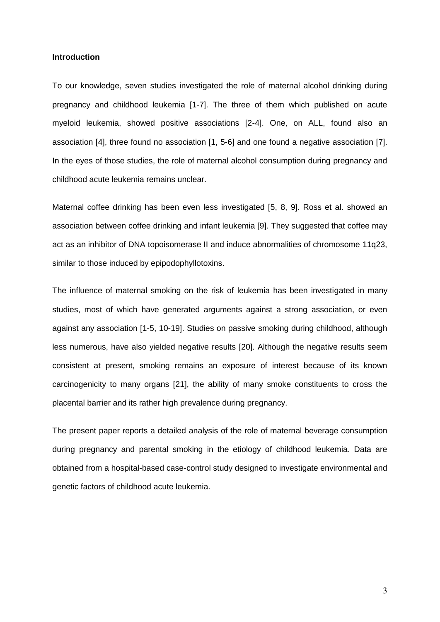#### **Introduction**

To our knowledge, seven studies investigated the role of maternal alcohol drinking during pregnancy and childhood leukemia [1-7]. The three of them which published on acute myeloid leukemia, showed positive associations [2-4]. One, on ALL, found also an association [4], three found no association [1, 5-6] and one found a negative association [7]. In the eyes of those studies, the role of maternal alcohol consumption during pregnancy and childhood acute leukemia remains unclear.

Maternal coffee drinking has been even less investigated [5, 8, 9]. Ross et al. showed an association between coffee drinking and infant leukemia [9]. They suggested that coffee may act as an inhibitor of DNA topoisomerase II and induce abnormalities of chromosome 11q23, similar to those induced by epipodophyllotoxins.

The influence of maternal smoking on the risk of leukemia has been investigated in many studies, most of which have generated arguments against a strong association, or even against any association [1-5, 10-19]. Studies on passive smoking during childhood, although less numerous, have also yielded negative results [20]. Although the negative results seem consistent at present, smoking remains an exposure of interest because of its known carcinogenicity to many organs [21], the ability of many smoke constituents to cross the placental barrier and its rather high prevalence during pregnancy.

The present paper reports a detailed analysis of the role of maternal beverage consumption during pregnancy and parental smoking in the etiology of childhood leukemia. Data are obtained from a hospital-based case-control study designed to investigate environmental and genetic factors of childhood acute leukemia.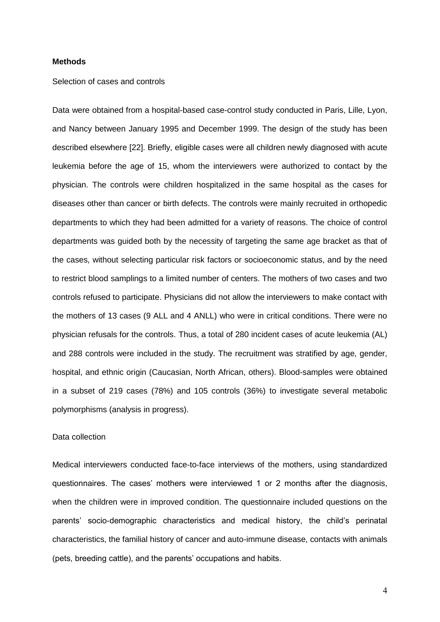#### **Methods**

#### Selection of cases and controls

Data were obtained from a hospital-based case-control study conducted in Paris, Lille, Lyon, and Nancy between January 1995 and December 1999. The design of the study has been described elsewhere [22]. Briefly, eligible cases were all children newly diagnosed with acute leukemia before the age of 15, whom the interviewers were authorized to contact by the physician. The controls were children hospitalized in the same hospital as the cases for diseases other than cancer or birth defects. The controls were mainly recruited in orthopedic departments to which they had been admitted for a variety of reasons. The choice of control departments was guided both by the necessity of targeting the same age bracket as that of the cases, without selecting particular risk factors or socioeconomic status, and by the need to restrict blood samplings to a limited number of centers. The mothers of two cases and two controls refused to participate. Physicians did not allow the interviewers to make contact with the mothers of 13 cases (9 ALL and 4 ANLL) who were in critical conditions. There were no physician refusals for the controls. Thus, a total of 280 incident cases of acute leukemia (AL) and 288 controls were included in the study. The recruitment was stratified by age, gender, hospital, and ethnic origin (Caucasian, North African, others). Blood-samples were obtained in a subset of 219 cases (78%) and 105 controls (36%) to investigate several metabolic polymorphisms (analysis in progress).

#### Data collection

Medical interviewers conducted face-to-face interviews of the mothers, using standardized questionnaires. The cases' mothers were interviewed 1 or 2 months after the diagnosis, when the children were in improved condition. The questionnaire included questions on the parents' socio-demographic characteristics and medical history, the child's perinatal characteristics, the familial history of cancer and auto-immune disease, contacts with animals (pets, breeding cattle), and the parents' occupations and habits.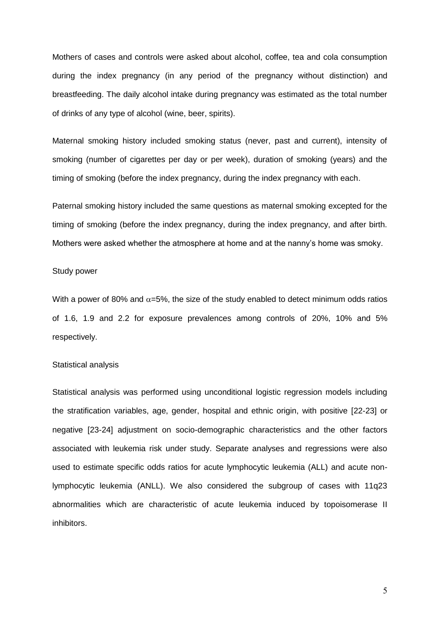Mothers of cases and controls were asked about alcohol, coffee, tea and cola consumption during the index pregnancy (in any period of the pregnancy without distinction) and breastfeeding. The daily alcohol intake during pregnancy was estimated as the total number of drinks of any type of alcohol (wine, beer, spirits).

Maternal smoking history included smoking status (never, past and current), intensity of smoking (number of cigarettes per day or per week), duration of smoking (years) and the timing of smoking (before the index pregnancy, during the index pregnancy with each.

Paternal smoking history included the same questions as maternal smoking excepted for the timing of smoking (before the index pregnancy, during the index pregnancy, and after birth. Mothers were asked whether the atmosphere at home and at the nanny's home was smoky.

#### Study power

With a power of 80% and  $\alpha$ =5%, the size of the study enabled to detect minimum odds ratios of 1.6, 1.9 and 2.2 for exposure prevalences among controls of 20%, 10% and 5% respectively.

#### Statistical analysis

Statistical analysis was performed using unconditional logistic regression models including the stratification variables, age, gender, hospital and ethnic origin, with positive [22-23] or negative [23-24] adjustment on socio-demographic characteristics and the other factors associated with leukemia risk under study. Separate analyses and regressions were also used to estimate specific odds ratios for acute lymphocytic leukemia (ALL) and acute nonlymphocytic leukemia (ANLL). We also considered the subgroup of cases with 11q23 abnormalities which are characteristic of acute leukemia induced by topoisomerase II inhibitors.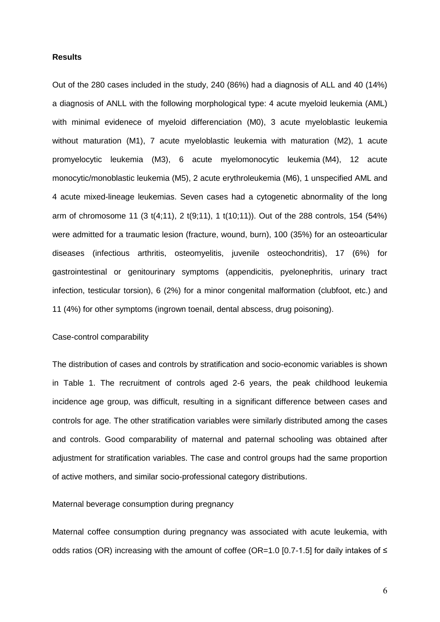#### **Results**

Out of the 280 cases included in the study, 240 (86%) had a diagnosis of ALL and 40 (14%) a diagnosis of ANLL with the following morphological type: 4 acute myeloid leukemia (AML) with minimal evidenece of myeloid differenciation (M0), 3 acute myeloblastic leukemia without maturation (M1), 7 acute myeloblastic leukemia with maturation (M2), 1 acute promyelocytic leukemia (M3), 6 acute myelomonocytic leukemia (M4), 12 acute monocytic/monoblastic leukemia (M5), 2 acute erythroleukemia (M6), 1 unspecified AML and 4 acute mixed-lineage leukemias. Seven cases had a cytogenetic abnormality of the long arm of chromosome 11 (3 t(4;11), 2 t(9;11), 1 t(10;11)). Out of the 288 controls, 154 (54%) were admitted for a traumatic lesion (fracture, wound, burn), 100 (35%) for an osteoarticular diseases (infectious arthritis, osteomyelitis, juvenile osteochondritis), 17 (6%) for gastrointestinal or genitourinary symptoms (appendicitis, pyelonephritis, urinary tract infection, testicular torsion), 6 (2%) for a minor congenital malformation (clubfoot, etc.) and 11 (4%) for other symptoms (ingrown toenail, dental abscess, drug poisoning).

#### Case-control comparability

The distribution of cases and controls by stratification and socio-economic variables is shown in Table 1. The recruitment of controls aged 2-6 years, the peak childhood leukemia incidence age group, was difficult, resulting in a significant difference between cases and controls for age. The other stratification variables were similarly distributed among the cases and controls. Good comparability of maternal and paternal schooling was obtained after adjustment for stratification variables. The case and control groups had the same proportion of active mothers, and similar socio-professional category distributions.

#### Maternal beverage consumption during pregnancy

Maternal coffee consumption during pregnancy was associated with acute leukemia, with odds ratios (OR) increasing with the amount of coffee (OR=1.0 [0.7-1.5] for daily intakes of ≤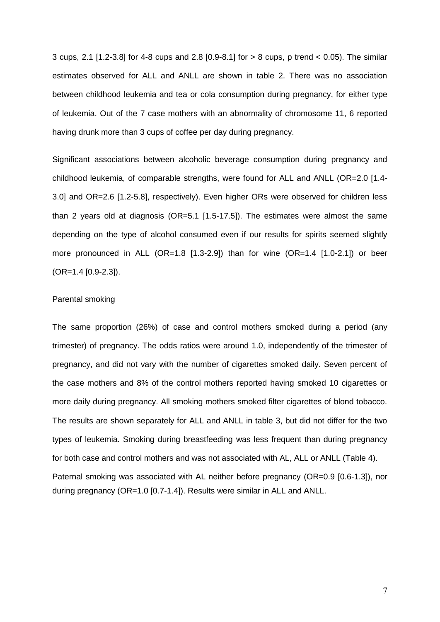3 cups, 2.1 [1.2-3.8] for 4-8 cups and 2.8 [0.9-8.1] for > 8 cups, p trend < 0.05). The similar estimates observed for ALL and ANLL are shown in table 2. There was no association between childhood leukemia and tea or cola consumption during pregnancy, for either type of leukemia. Out of the 7 case mothers with an abnormality of chromosome 11, 6 reported having drunk more than 3 cups of coffee per day during pregnancy.

Significant associations between alcoholic beverage consumption during pregnancy and childhood leukemia, of comparable strengths, were found for ALL and ANLL (OR=2.0 [1.4- 3.0] and OR=2.6 [1.2-5.8], respectively). Even higher ORs were observed for children less than 2 years old at diagnosis (OR=5.1 [1.5-17.5]). The estimates were almost the same depending on the type of alcohol consumed even if our results for spirits seemed slightly more pronounced in ALL (OR=1.8  $[1.3-2.9]$ ) than for wine (OR=1.4  $[1.0-2.1]$ ) or beer (OR=1.4 [0.9-2.3]).

#### Parental smoking

The same proportion (26%) of case and control mothers smoked during a period (any trimester) of pregnancy. The odds ratios were around 1.0, independently of the trimester of pregnancy, and did not vary with the number of cigarettes smoked daily. Seven percent of the case mothers and 8% of the control mothers reported having smoked 10 cigarettes or more daily during pregnancy. All smoking mothers smoked filter cigarettes of blond tobacco. The results are shown separately for ALL and ANLL in table 3, but did not differ for the two types of leukemia. Smoking during breastfeeding was less frequent than during pregnancy for both case and control mothers and was not associated with AL, ALL or ANLL (Table 4). Paternal smoking was associated with AL neither before pregnancy (OR=0.9 [0.6-1.3]), nor

during pregnancy (OR=1.0 [0.7-1.4]). Results were similar in ALL and ANLL.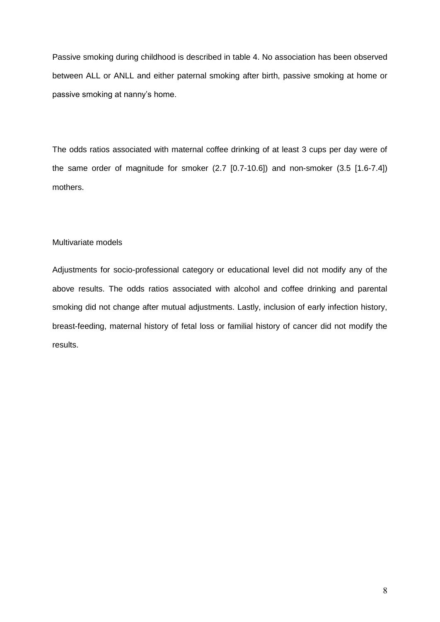Passive smoking during childhood is described in table 4. No association has been observed between ALL or ANLL and either paternal smoking after birth, passive smoking at home or passive smoking at nanny's home.

The odds ratios associated with maternal coffee drinking of at least 3 cups per day were of the same order of magnitude for smoker (2.7 [0.7-10.6]) and non-smoker (3.5 [1.6-7.4]) mothers.

#### Multivariate models

Adjustments for socio-professional category or educational level did not modify any of the above results. The odds ratios associated with alcohol and coffee drinking and parental smoking did not change after mutual adjustments. Lastly, inclusion of early infection history, breast-feeding, maternal history of fetal loss or familial history of cancer did not modify the results.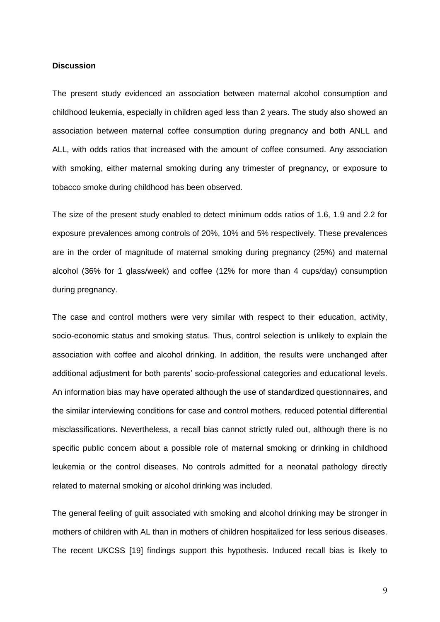#### **Discussion**

The present study evidenced an association between maternal alcohol consumption and childhood leukemia, especially in children aged less than 2 years. The study also showed an association between maternal coffee consumption during pregnancy and both ANLL and ALL, with odds ratios that increased with the amount of coffee consumed. Any association with smoking, either maternal smoking during any trimester of pregnancy, or exposure to tobacco smoke during childhood has been observed.

The size of the present study enabled to detect minimum odds ratios of 1.6, 1.9 and 2.2 for exposure prevalences among controls of 20%, 10% and 5% respectively. These prevalences are in the order of magnitude of maternal smoking during pregnancy (25%) and maternal alcohol (36% for 1 glass/week) and coffee (12% for more than 4 cups/day) consumption during pregnancy.

The case and control mothers were very similar with respect to their education, activity, socio-economic status and smoking status. Thus, control selection is unlikely to explain the association with coffee and alcohol drinking. In addition, the results were unchanged after additional adjustment for both parents' socio-professional categories and educational levels. An information bias may have operated although the use of standardized questionnaires, and the similar interviewing conditions for case and control mothers, reduced potential differential misclassifications. Nevertheless, a recall bias cannot strictly ruled out, although there is no specific public concern about a possible role of maternal smoking or drinking in childhood leukemia or the control diseases. No controls admitted for a neonatal pathology directly related to maternal smoking or alcohol drinking was included.

The general feeling of guilt associated with smoking and alcohol drinking may be stronger in mothers of children with AL than in mothers of children hospitalized for less serious diseases. The recent UKCSS [19] findings support this hypothesis. Induced recall bias is likely to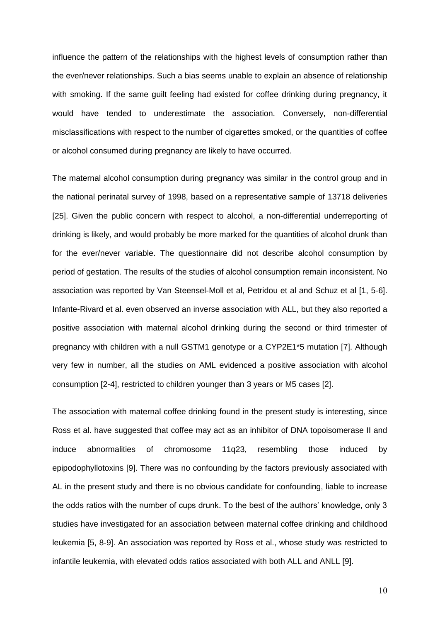influence the pattern of the relationships with the highest levels of consumption rather than the ever/never relationships. Such a bias seems unable to explain an absence of relationship with smoking. If the same guilt feeling had existed for coffee drinking during pregnancy, it would have tended to underestimate the association. Conversely, non-differential misclassifications with respect to the number of cigarettes smoked, or the quantities of coffee or alcohol consumed during pregnancy are likely to have occurred.

The maternal alcohol consumption during pregnancy was similar in the control group and in the national perinatal survey of 1998, based on a representative sample of 13718 deliveries [25]. Given the public concern with respect to alcohol, a non-differential underreporting of drinking is likely, and would probably be more marked for the quantities of alcohol drunk than for the ever/never variable. The questionnaire did not describe alcohol consumption by period of gestation. The results of the studies of alcohol consumption remain inconsistent. No association was reported by Van Steensel-Moll et al, Petridou et al and Schuz et al [1, 5-6]. Infante-Rivard et al. even observed an inverse association with ALL, but they also reported a positive association with maternal alcohol drinking during the second or third trimester of pregnancy with children with a null GSTM1 genotype or a CYP2E1\*5 mutation [7]. Although very few in number, all the studies on AML evidenced a positive association with alcohol consumption [2-4], restricted to children younger than 3 years or M5 cases [2].

The association with maternal coffee drinking found in the present study is interesting, since Ross et al. have suggested that coffee may act as an inhibitor of DNA topoisomerase II and induce abnormalities of chromosome 11q23, resembling those induced by epipodophyllotoxins [9]. There was no confounding by the factors previously associated with AL in the present study and there is no obvious candidate for confounding, liable to increase the odds ratios with the number of cups drunk. To the best of the authors' knowledge, only 3 studies have investigated for an association between maternal coffee drinking and childhood leukemia [5, 8-9]. An association was reported by Ross et al., whose study was restricted to infantile leukemia, with elevated odds ratios associated with both ALL and ANLL [9].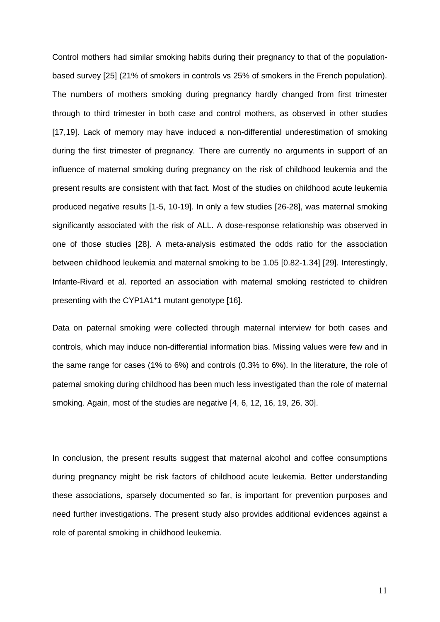Control mothers had similar smoking habits during their pregnancy to that of the populationbased survey [25] (21% of smokers in controls vs 25% of smokers in the French population). The numbers of mothers smoking during pregnancy hardly changed from first trimester through to third trimester in both case and control mothers, as observed in other studies [17,19]. Lack of memory may have induced a non-differential underestimation of smoking during the first trimester of pregnancy. There are currently no arguments in support of an influence of maternal smoking during pregnancy on the risk of childhood leukemia and the present results are consistent with that fact. Most of the studies on childhood acute leukemia produced negative results [1-5, 10-19]. In only a few studies [26-28], was maternal smoking significantly associated with the risk of ALL. A dose-response relationship was observed in one of those studies [28]. A meta-analysis estimated the odds ratio for the association between childhood leukemia and maternal smoking to be 1.05 [0.82-1.34] [29]. Interestingly, Infante-Rivard et al. reported an association with maternal smoking restricted to children presenting with the CYP1A1\*1 mutant genotype [16].

Data on paternal smoking were collected through maternal interview for both cases and controls, which may induce non-differential information bias. Missing values were few and in the same range for cases (1% to 6%) and controls (0.3% to 6%). In the literature, the role of paternal smoking during childhood has been much less investigated than the role of maternal smoking. Again, most of the studies are negative [4, 6, 12, 16, 19, 26, 30].

In conclusion, the present results suggest that maternal alcohol and coffee consumptions during pregnancy might be risk factors of childhood acute leukemia. Better understanding these associations, sparsely documented so far, is important for prevention purposes and need further investigations. The present study also provides additional evidences against a role of parental smoking in childhood leukemia.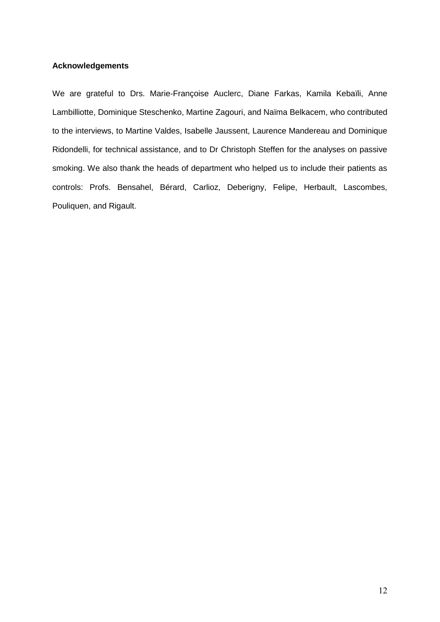### **Acknowledgements**

We are grateful to Drs. Marie-Françoise Auclerc, Diane Farkas, Kamila Kebaïli, Anne Lambilliotte, Dominique Steschenko, Martine Zagouri, and Naïma Belkacem, who contributed to the interviews, to Martine Valdes, Isabelle Jaussent, Laurence Mandereau and Dominique Ridondelli, for technical assistance, and to Dr Christoph Steffen for the analyses on passive smoking. We also thank the heads of department who helped us to include their patients as controls: Profs. Bensahel, Bérard, Carlioz, Deberigny, Felipe, Herbault, Lascombes, Pouliquen, and Rigault.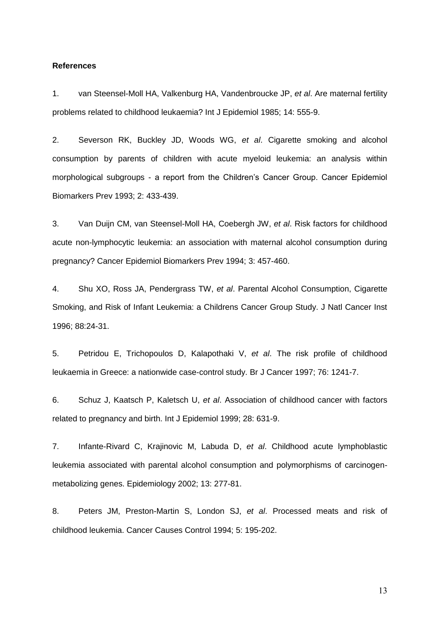#### **References**

1. van Steensel-Moll HA, Valkenburg HA, Vandenbroucke JP, *et al*. Are maternal fertility problems related to childhood leukaemia? Int J Epidemiol 1985; 14: 555-9.

2. Severson RK, Buckley JD, Woods WG, *et al*. Cigarette smoking and alcohol consumption by parents of children with acute myeloid leukemia: an analysis within morphological subgroups - a report from the Children's Cancer Group. Cancer Epidemiol Biomarkers Prev 1993; 2: 433-439.

3. Van Duijn CM, van Steensel-Moll HA, Coebergh JW, *et al*. Risk factors for childhood acute non-lymphocytic leukemia: an association with maternal alcohol consumption during pregnancy? Cancer Epidemiol Biomarkers Prev 1994; 3: 457-460.

4. Shu XO, Ross JA, Pendergrass TW, *et al*. Parental Alcohol Consumption, Cigarette Smoking, and Risk of Infant Leukemia: a Childrens Cancer Group Study. J Natl Cancer Inst 1996; 88:24-31.

5. Petridou E, Trichopoulos D, Kalapothaki V, *et al*. The risk profile of childhood leukaemia in Greece: a nationwide case-control study. Br J Cancer 1997; 76: 1241-7.

6. Schuz J, Kaatsch P, Kaletsch U, *et al*. Association of childhood cancer with factors related to pregnancy and birth. Int J Epidemiol 1999; 28: 631-9.

7. Infante-Rivard C, Krajinovic M, Labuda D, *et al*. Childhood acute lymphoblastic leukemia associated with parental alcohol consumption and polymorphisms of carcinogenmetabolizing genes. Epidemiology 2002; 13: 277-81.

8. Peters JM, Preston-Martin S, London SJ, *et al*. Processed meats and risk of childhood leukemia. Cancer Causes Control 1994; 5: 195-202.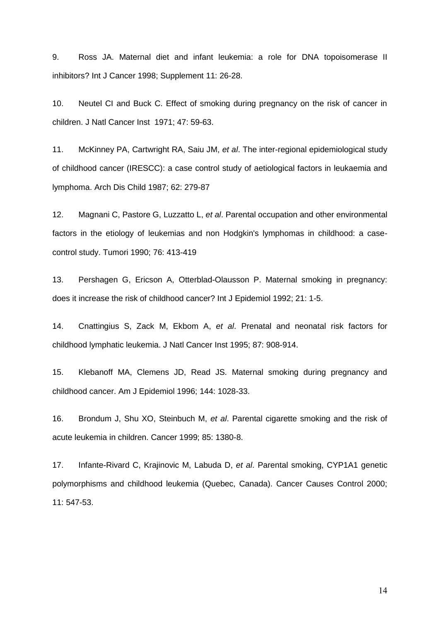9. Ross JA. Maternal diet and infant leukemia: a role for DNA topoisomerase II inhibitors? Int J Cancer 1998; Supplement 11: 26-28.

10. Neutel CI and Buck C. Effect of smoking during pregnancy on the risk of cancer in children. J Natl Cancer Inst 1971; 47: 59-63.

11. McKinney PA, Cartwright RA, Saiu JM, *et al*. The inter-regional epidemiological study of childhood cancer (IRESCC): a case control study of aetiological factors in leukaemia and lymphoma. Arch Dis Child 1987; 62: 279-87

12. Magnani C, Pastore G, Luzzatto L, *et al*. Parental occupation and other environmental factors in the etiology of leukemias and non Hodgkin's lymphomas in childhood: a casecontrol study. Tumori 1990; 76: 413-419

13. Pershagen G, Ericson A, Otterblad-Olausson P. Maternal smoking in pregnancy: does it increase the risk of childhood cancer? Int J Epidemiol 1992; 21: 1-5.

14. Cnattingius S, Zack M, Ekbom A, *et al*. Prenatal and neonatal risk factors for childhood lymphatic leukemia. J Natl Cancer Inst 1995; 87: 908-914.

15. Klebanoff MA, Clemens JD, Read JS. Maternal smoking during pregnancy and childhood cancer. Am J Epidemiol 1996; 144: 1028-33.

16. Brondum J, Shu XO, Steinbuch M, *et al*. Parental cigarette smoking and the risk of acute leukemia in children. Cancer 1999; 85: 1380-8.

17. Infante-Rivard C, Krajinovic M, Labuda D, *et al*. Parental smoking, CYP1A1 genetic polymorphisms and childhood leukemia (Quebec, Canada). Cancer Causes Control 2000; 11: 547-53.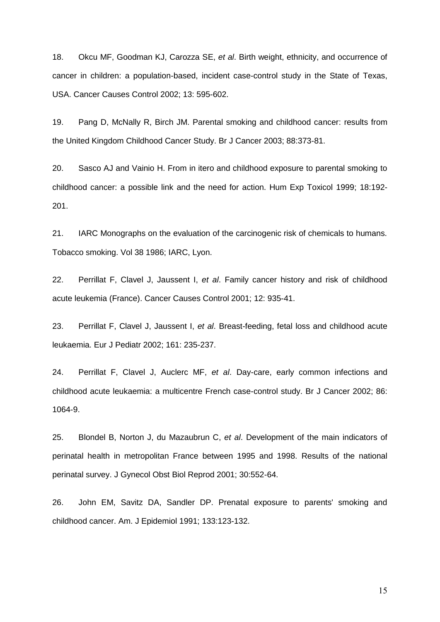18. Okcu MF, Goodman KJ, Carozza SE, *et al*. Birth weight, ethnicity, and occurrence of cancer in children: a population-based, incident case-control study in the State of Texas, USA. Cancer Causes Control 2002; 13: 595-602.

19. Pang D, McNally R, Birch JM. Parental smoking and childhood cancer: results from the United Kingdom Childhood Cancer Study. Br J Cancer 2003; 88:373-81.

20. Sasco AJ and Vainio H. From in itero and childhood exposure to parental smoking to childhood cancer: a possible link and the need for action. Hum Exp Toxicol 1999; 18:192- 201.

21. IARC Monographs on the evaluation of the carcinogenic risk of chemicals to humans. Tobacco smoking. Vol 38 1986; IARC, Lyon.

22. Perrillat F, Clavel J, Jaussent I, *et al*. Family cancer history and risk of childhood acute leukemia (France). Cancer Causes Control 2001; 12: 935-41.

23. Perrillat F, Clavel J, Jaussent I, *et al*. Breast-feeding, fetal loss and childhood acute leukaemia. Eur J Pediatr 2002; 161: 235-237.

24. Perrillat F, Clavel J, Auclerc MF, *et al*. Day-care, early common infections and childhood acute leukaemia: a multicentre French case-control study. Br J Cancer 2002; 86: 1064-9.

25. Blondel B, Norton J, du Mazaubrun C, *et al*. Development of the main indicators of perinatal health in metropolitan France between 1995 and 1998. Results of the national perinatal survey. J Gynecol Obst Biol Reprod 2001; 30:552-64.

26. John EM, Savitz DA, Sandler DP. Prenatal exposure to parents' smoking and childhood cancer. Am. J Epidemiol 1991; 133:123-132.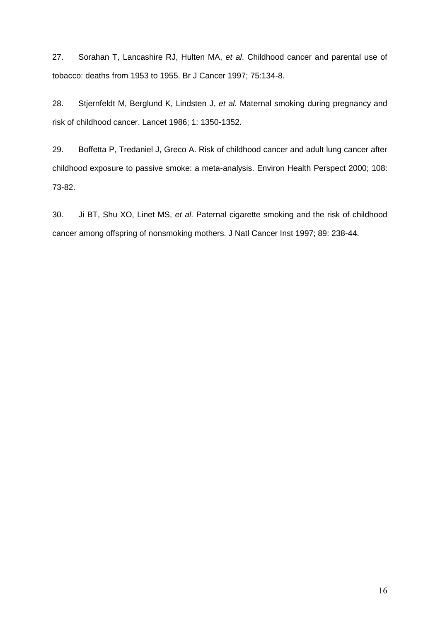27. Sorahan T, Lancashire RJ, Hulten MA, *et al*. Childhood cancer and parental use of tobacco: deaths from 1953 to 1955. Br J Cancer 1997; 75:134-8.

28. Stjernfeldt M, Berglund K, Lindsten J, *et al*. Maternal smoking during pregnancy and risk of childhood cancer. Lancet 1986; 1: 1350-1352.

29. Boffetta P, Tredaniel J, Greco A. Risk of childhood cancer and adult lung cancer after childhood exposure to passive smoke: a meta-analysis. Environ Health Perspect 2000; 108: 73-82.

30. Ji BT, Shu XO, Linet MS, *et al*. Paternal cigarette smoking and the risk of childhood cancer among offspring of nonsmoking mothers. J Natl Cancer Inst 1997; 89: 238-44.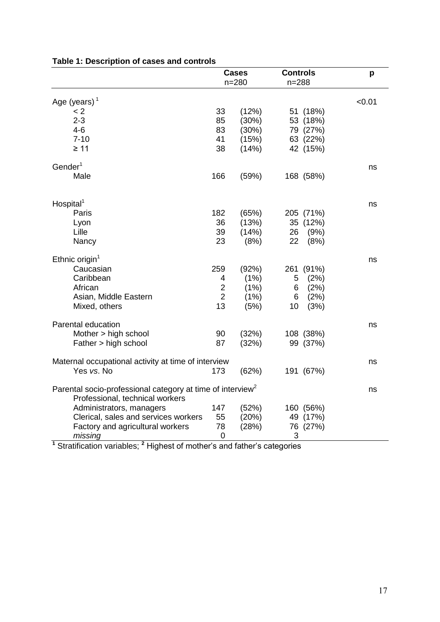|                                                                                                           |                | <b>Cases</b><br>$n = 280$ | <b>Controls</b><br>$n = 288$ |           | p      |
|-----------------------------------------------------------------------------------------------------------|----------------|---------------------------|------------------------------|-----------|--------|
| Age (years) $1$                                                                                           |                |                           |                              |           | < 0.01 |
| < 2                                                                                                       | 33             | (12%)                     |                              | 51 (18%)  |        |
| $2 - 3$                                                                                                   | 85             | (30%)                     |                              | 53 (18%)  |        |
| $4 - 6$                                                                                                   | 83             | (30%)                     |                              | 79 (27%)  |        |
| $7 - 10$                                                                                                  | 41             | (15%)                     |                              | 63 (22%)  |        |
| $\geq 11$                                                                                                 | 38             | (14%)                     |                              | 42 (15%)  |        |
| $G$ ender <sup>1</sup>                                                                                    |                |                           |                              |           | ns     |
| Male                                                                                                      | 166            | (59%)                     |                              | 168 (58%) |        |
| Hospital <sup>1</sup>                                                                                     |                |                           |                              |           | ns     |
| Paris                                                                                                     | 182            | (65%)                     |                              | 205 (71%) |        |
| Lyon                                                                                                      | 36             | (13%)                     |                              | 35 (12%)  |        |
| Lille                                                                                                     | 39             | (14%)                     | 26                           | (9%)      |        |
| Nancy                                                                                                     | 23             | (8%)                      | 22                           | (8%)      |        |
| Ethnic origin <sup>1</sup>                                                                                |                |                           |                              |           | ns     |
| Caucasian                                                                                                 | 259            | (92%)                     | 261                          | (91%)     |        |
| Caribbean                                                                                                 | 4              | (1%)                      | 5                            | (2%)      |        |
| African                                                                                                   | $\overline{2}$ | (1%)                      | 6                            | (2%)      |        |
| Asian, Middle Eastern                                                                                     | $\overline{2}$ | (1%)                      | 6                            | (2%)      |        |
| Mixed, others                                                                                             | 13             | (5%)                      | 10                           | (3%)      |        |
| Parental education                                                                                        |                |                           |                              |           | ns     |
| Mother > high school                                                                                      | 90             | (32%)                     |                              | 108 (38%) |        |
| Father > high school                                                                                      | 87             | (32%)                     |                              | 99 (37%)  |        |
| Maternal occupational activity at time of interview                                                       |                |                           |                              |           | ns     |
| Yes vs. No                                                                                                | 173            | (62%)                     |                              | 191 (67%) |        |
| Parental socio-professional category at time of interview <sup>2</sup><br>Professional, technical workers |                |                           |                              |           | ns     |
| Administrators, managers                                                                                  | 147            | (52%)                     |                              | 160 (56%) |        |
| Clerical, sales and services workers                                                                      | 55             | (20%)                     |                              | 49 (17%)  |        |
| Factory and agricultural workers                                                                          | 78             | (28%)                     |                              | 76 (27%)  |        |
| missing                                                                                                   | $\mathbf 0$    |                           | 3                            |           |        |

## **Table 1: Description of cases and controls**

**<sup>1</sup>** Stratification variables; **<sup>2</sup>** Highest of mother's and father's categories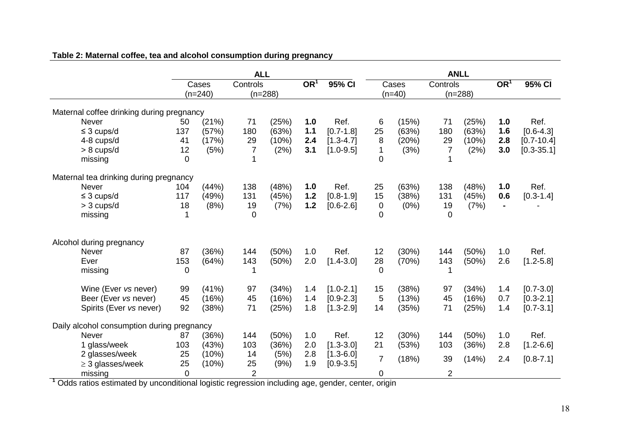|                                            | <b>ALL</b>     |           |                       |       |                 |               |                |       |                       |       |                 |                |
|--------------------------------------------|----------------|-----------|-----------------------|-------|-----------------|---------------|----------------|-------|-----------------------|-------|-----------------|----------------|
|                                            |                | Cases     | Controls<br>$(n=288)$ |       | OR <sup>1</sup> | 95% CI        |                | Cases | Controls<br>$(n=288)$ |       | OR <sup>1</sup> | 95% CI         |
|                                            |                | $(n=240)$ |                       |       |                 |               | $(n=40)$       |       |                       |       |                 |                |
| Maternal coffee drinking during pregnancy  |                |           |                       |       |                 |               |                |       |                       |       |                 |                |
| <b>Never</b>                               | 50             | (21%)     | 71                    | (25%) | 1.0             | Ref.          | 6              | (15%) | 71                    | (25%) | 1.0             | Ref.           |
| $\leq$ 3 cups/d                            | 137            | (57%)     | 180                   | (63%) | $1.1$           | $[0.7 - 1.8]$ | 25             | (63%) | 180                   | (63%) | 1.6             | $[0.6 - 4.3]$  |
| 4-8 cups/d                                 | 41             | (17%)     | 29                    | (10%) | 2.4             | $[1.3 - 4.7]$ | 8              | (20%) | 29                    | (10%) | 2.8             | $[0.7 - 10.4]$ |
| $> 8$ cups/d                               | 12             | (5%)      | $\overline{7}$        | (2%)  | 3.1             | $[1.0 - 9.5]$ | $\mathbf 1$    | (3%)  | 7                     | (2%)  | 3.0             | $[0.3 - 35.1]$ |
| missing                                    | $\overline{0}$ |           |                       |       |                 |               | $\overline{0}$ |       |                       |       |                 |                |
| Maternal tea drinking during pregnancy     |                |           |                       |       |                 |               |                |       |                       |       |                 |                |
| <b>Never</b>                               | 104            | (44%)     | 138                   | (48%) | 1.0             | Ref.          | 25             | (63%) | 138                   | (48%) | 1.0             | Ref.           |
| $\leq$ 3 cups/d                            | 117            | (49%)     | 131                   | (45%) | 1.2             | $[0.8 - 1.9]$ | 15             | (38%) | 131                   | (45%) | 0.6             | $[0.3 - 1.4]$  |
| $>$ 3 cups/d                               | 18             | (8%)      | 19                    | (7%)  | 1.2             | $[0.6 - 2.6]$ | 0              | (0%)  | 19                    | (7%)  |                 |                |
| missing                                    | 1              |           | 0                     |       |                 |               | 0              |       | 0                     |       |                 |                |
| Alcohol during pregnancy                   |                |           |                       |       |                 |               |                |       |                       |       |                 |                |
| <b>Never</b>                               | 87             | (36%)     | 144                   | (50%) | 1.0             | Ref.          | 12             | (30%) | 144                   | (50%) | 1.0             | Ref.           |
| Ever                                       | 153            | (64%)     | 143                   | (50%) | 2.0             | $[1.4 - 3.0]$ | 28             | (70%) | 143                   | (50%) | 2.6             | $[1.2 - 5.8]$  |
|                                            | $\overline{0}$ |           |                       |       |                 |               | $\Omega$       |       |                       |       |                 |                |
| missing                                    |                |           |                       |       |                 |               |                |       |                       |       |                 |                |
| Wine (Ever vs never)                       | 99             | (41%)     | 97                    | (34%) | 1.4             | $[1.0 - 2.1]$ | 15             | (38%) | 97                    | (34%) | 1.4             | $[0.7 - 3.0]$  |
| Beer (Ever vs never)                       | 45             | (16%)     | 45                    | (16%) | 1.4             | $[0.9 - 2.3]$ | 5              | (13%) | 45                    | (16%) | 0.7             | $[0.3 - 2.1]$  |
| Spirits (Ever vs never)                    | 92             | (38%)     | 71                    | (25%) | 1.8             | $[1.3 - 2.9]$ | 14             | (35%) | 71                    | (25%) | 1.4             | $[0.7 - 3.1]$  |
| Daily alcohol consumption during pregnancy |                |           |                       |       |                 |               |                |       |                       |       |                 |                |
| <b>Never</b>                               | 87             | (36%)     | 144                   | (50%) | 1.0             | Ref.          | 12             | (30%) | 144                   | (50%) | 1.0             | Ref.           |
| 1 glass/week                               | 103            | (43%)     | 103                   | (36%) | 2.0             | $[1.3 - 3.0]$ | 21             | (53%) | 103                   | (36%) | 2.8             | $[1.2 - 6.6]$  |
| 2 glasses/week                             | 25             | (10%)     | 14                    | (5%)  | 2.8             | $[1.3 - 6.0]$ |                |       |                       |       |                 |                |
| $\geq$ 3 glasses/week                      | 25             | (10%)     | 25                    | (9%)  | 1.9             | $[0.9 - 3.5]$ | $\overline{7}$ | (18%) | 39                    | (14%) | 2.4             | $[0.8 - 7.1]$  |
| missing                                    | 0              |           | $\overline{2}$        |       |                 |               | 0              |       | $\overline{2}$        |       |                 |                |

## **Table 2: Maternal coffee, tea and alcohol consumption during pregnancy**

**<sup>1</sup>** Odds ratios estimated by unconditional logistic regression including age, gender, center, origin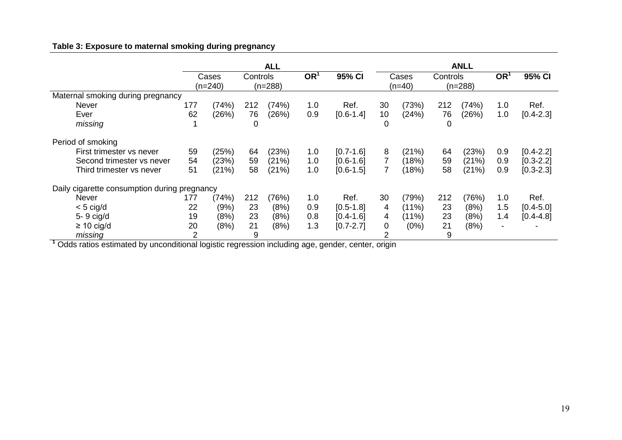## **Table 3: Exposure to maternal smoking during pregnancy**

|                                              | <b>ALL</b> |         |           |       |                 |               |          | <b>ANLL</b> |           |       |                          |               |  |  |
|----------------------------------------------|------------|---------|-----------|-------|-----------------|---------------|----------|-------------|-----------|-------|--------------------------|---------------|--|--|
|                                              |            | Cases   | Controls  |       | OR <sup>1</sup> | 95% CI        | Cases    |             | Controls  |       | OR <sup>1</sup>          | 95% CI        |  |  |
|                                              |            | (n=240) | $(n=288)$ |       |                 |               | $(n=40)$ |             | $(n=288)$ |       |                          |               |  |  |
| Maternal smoking during pregnancy            |            |         |           |       |                 |               |          |             |           |       |                          |               |  |  |
| Never                                        | 177        | (74%)   | 212       | (74%) | 1.0             | Ref.          | 30       | (73%)       | 212       | (74%) | 1.0                      | Ref.          |  |  |
| Ever                                         | 62         | (26%)   | 76        | (26%) | 0.9             | $[0.6 - 1.4]$ | 10       | (24%)       | 76        | (26%) | 1.0                      | $[0.4 - 2.3]$ |  |  |
| missing                                      |            |         | 0         |       |                 |               | 0        |             | 0         |       |                          |               |  |  |
| Period of smoking                            |            |         |           |       |                 |               |          |             |           |       |                          |               |  |  |
| First trimester vs never                     | 59         | (25%)   | 64        | (23%) | 1.0             | $[0.7 - 1.6]$ | 8        | (21%)       | 64        | (23%) | 0.9                      | $[0.4 - 2.2]$ |  |  |
| Second trimester vs never                    | 54         | (23%)   | 59        | (21%) | 1.0             | $[0.6 - 1.6]$ |          | (18%)       | 59        | (21%) | 0.9                      | $[0.3 - 2.2]$ |  |  |
| Third trimester vs never                     | 51         | (21%)   | 58        | (21%) | 1.0             | $[0.6 - 1.5]$ |          | (18%)       | 58        | (21%) | 0.9                      | $[0.3 - 2.3]$ |  |  |
| Daily cigarette consumption during pregnancy |            |         |           |       |                 |               |          |             |           |       |                          |               |  |  |
| Never                                        | 177        | (74%)   | 212       | (76%) | 1.0             | Ref.          | 30       | (79%)       | 212       | (76%) | 1.0                      | Ref.          |  |  |
| $<$ 5 cig/d                                  | 22         | (9%)    | 23        | (8%)  | 0.9             | $[0.5 - 1.8]$ | 4        | $(11\%)$    | 23        | (8%)  | 1.5                      | $[0.4 - 5.0]$ |  |  |
| 5-9 cig/d                                    | 19         | (8%)    | 23        | (8%)  | 0.8             | $[0.4 - 1.6]$ | 4        | (11%)       | 23        | (8%)  | 1.4                      | $[0.4 - 4.8]$ |  |  |
| $\geq$ 10 cig/d                              | 20         | (8%)    | 21        | (8%)  | 1.3             | $[0.7 - 2.7]$ | $\Omega$ | (0%)        | 21        | (8%)  | $\overline{\phantom{a}}$ | -             |  |  |
| missing                                      | 2          |         | 9         |       |                 |               |          |             | 9         |       |                          |               |  |  |

**<sup>1</sup>** Odds ratios estimated by unconditional logistic regression including age, gender, center, origin